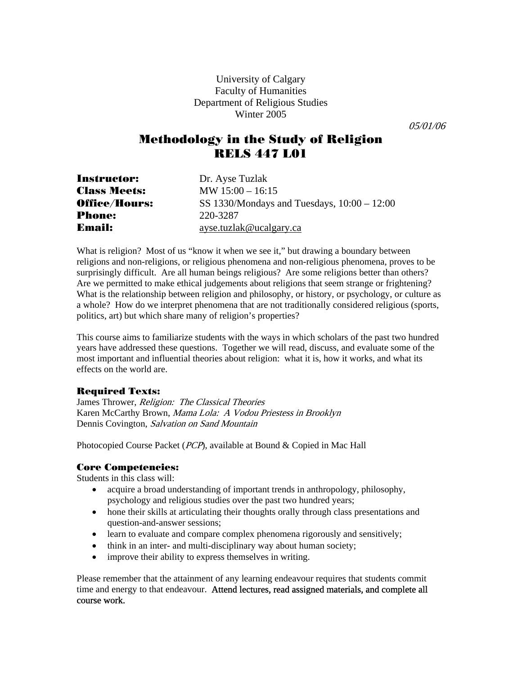University of Calgary Faculty of Humanities Department of Religious Studies Winter 2005

05/01/06

## Methodology in the Study of Religion RELS 447 L01

| <b>Instructor:</b>   | Dr. Ayse Tuzlak                               |
|----------------------|-----------------------------------------------|
| <b>Class Meets:</b>  | MW $15:00 - 16:15$                            |
| <b>Office/Hours:</b> | SS 1330/Mondays and Tuesdays, $10:00 - 12:00$ |
| <b>Phone:</b>        | 220-3287                                      |
| <b>Email:</b>        | ayse.tuzlak@ucalgary.ca                       |

What is religion? Most of us "know it when we see it," but drawing a boundary between religions and non-religions, or religious phenomena and non-religious phenomena, proves to be surprisingly difficult. Are all human beings religious? Are some religions better than others? Are we permitted to make ethical judgements about religions that seem strange or frightening? What is the relationship between religion and philosophy, or history, or psychology, or culture as a whole? How do we interpret phenomena that are not traditionally considered religious (sports, politics, art) but which share many of religion's properties?

This course aims to familiarize students with the ways in which scholars of the past two hundred years have addressed these questions. Together we will read, discuss, and evaluate some of the most important and influential theories about religion: what it is, how it works, and what its effects on the world are.

#### Required Texts:

James Thrower, Religion: The Classical Theories Karen McCarthy Brown, Mama Lola: A Vodou Priestess in Brooklyn Dennis Covington, Salvation on Sand Mountain

Photocopied Course Packet (PCP), available at Bound & Copied in Mac Hall

#### Core Competencies:

Students in this class will:

- acquire a broad understanding of important trends in anthropology, philosophy, psychology and religious studies over the past two hundred years;
- hone their skills at articulating their thoughts orally through class presentations and question-and-answer sessions;
- learn to evaluate and compare complex phenomena rigorously and sensitively;
- think in an inter- and multi-disciplinary way about human society;
- improve their ability to express themselves in writing.

Please remember that the attainment of any learning endeavour requires that students commit time and energy to that endeavour. Attend lectures, read assigned materials, and complete all course work.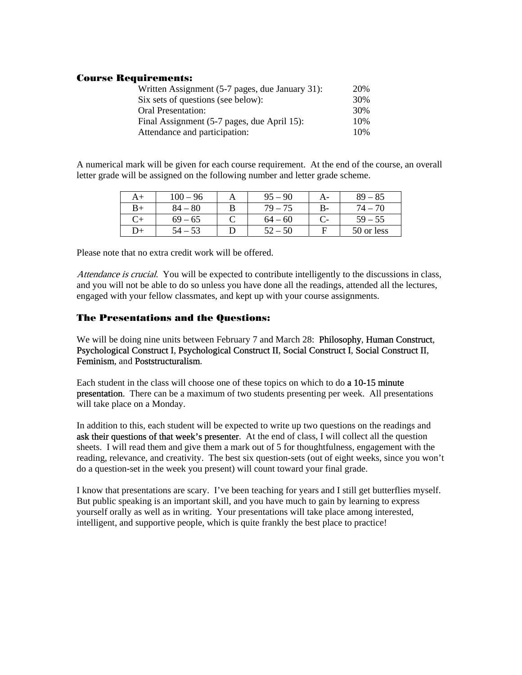#### Course Requirements:

| Written Assignment (5-7 pages, due January 31): | 20% |
|-------------------------------------------------|-----|
| Six sets of questions (see below):              | 30% |
| Oral Presentation:                              | 30% |
| Final Assignment (5-7 pages, due April 15):     | 10% |
| Attendance and participation:                   | 10% |

A numerical mark will be given for each course requirement. At the end of the course, an overall letter grade will be assigned on the following number and letter grade scheme.

| A+ | $100-$<br>96 | A | 90<br>95    | A- | $89 - 85$  |
|----|--------------|---|-------------|----|------------|
| B+ | 80<br>84     | В | 79          | В- | $74-$      |
| ∼⊥ | $69 - 65$    |   | $64-$<br>60 |    | $59 - 55$  |
| D+ |              |   | ເາ<br>50    | F  | 50 or less |

Please note that no extra credit work will be offered.

Attendance is crucial. You will be expected to contribute intelligently to the discussions in class, and you will not be able to do so unless you have done all the readings, attended all the lectures, engaged with your fellow classmates, and kept up with your course assignments.

### The Presentations and the Questions:

We will be doing nine units between February 7 and March 28: Philosophy, Human Construct, Psychological Construct I, Psychological Construct II, Social Construct I, Social Construct II, Feminism, and Poststructuralism.

Each student in the class will choose one of these topics on which to do **a** 10-15 minute presentation. There can be a maximum of two students presenting per week. All presentations will take place on a Monday.

In addition to this, each student will be expected to write up two questions on the readings and ask their questions of that week's presenter. At the end of class, I will collect all the question sheets. I will read them and give them a mark out of 5 for thoughtfulness, engagement with the reading, relevance, and creativity. The best six question-sets (out of eight weeks, since you won't do a question-set in the week you present) will count toward your final grade.

I know that presentations are scary. I've been teaching for years and I still get butterflies myself. But public speaking is an important skill, and you have much to gain by learning to express yourself orally as well as in writing. Your presentations will take place among interested, intelligent, and supportive people, which is quite frankly the best place to practice!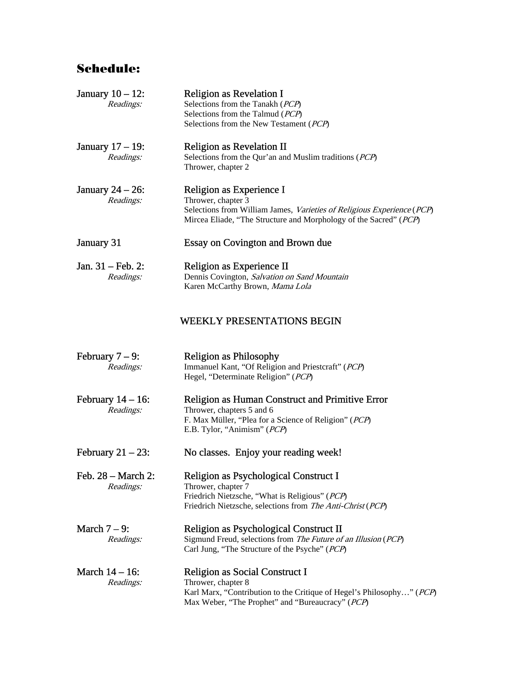# Schedule:

| January $10 - 12$ :<br>Readings:          | <b>Religion as Revelation I</b><br>Selections from the Tanakh (PCP)<br>Selections from the Talmud (PCP)<br>Selections from the New Testament (PCP)                                            |  |  |  |  |
|-------------------------------------------|-----------------------------------------------------------------------------------------------------------------------------------------------------------------------------------------------|--|--|--|--|
| January $17 - 19$ :<br>Readings:          | <b>Religion as Revelation II</b><br>Selections from the Qur'an and Muslim traditions (PCP)<br>Thrower, chapter 2                                                                              |  |  |  |  |
| January $24 - 26$ :<br>Readings:          | Religion as Experience I<br>Thrower, chapter 3<br>Selections from William James, Varieties of Religious Experience (PCP)<br>Mircea Eliade, "The Structure and Morphology of the Sacred" (PCP) |  |  |  |  |
| January 31                                | <b>Essay on Covington and Brown due</b>                                                                                                                                                       |  |  |  |  |
| Jan. $31 - \text{Feb. } 2$ :<br>Readings: | Religion as Experience II<br>Dennis Covington, Salvation on Sand Mountain<br>Karen McCarthy Brown, Mama Lola                                                                                  |  |  |  |  |
|                                           | <b>WEEKLY PRESENTATIONS BEGIN</b>                                                                                                                                                             |  |  |  |  |
| February $7 - 9$ :<br>Readings:           | <b>Religion as Philosophy</b><br>Immanuel Kant, "Of Religion and Priestcraft" (PCP)<br>Hegel, "Determinate Religion" (PCP)                                                                    |  |  |  |  |
| February $14 - 16$ :<br>Readings:         | <b>Religion as Human Construct and Primitive Error</b><br>Thrower, chapters 5 and 6<br>F. Max Müller, "Plea for a Science of Religion" (PCP)<br>E.B. Tylor, "Animism" (PCP)                   |  |  |  |  |
| February $21 - 23$ :                      | No classes. Enjoy your reading week!                                                                                                                                                          |  |  |  |  |
| Feb. 28 - March 2:<br>Readings:           | Religion as Psychological Construct I<br>Thrower, chapter 7<br>Friedrich Nietzsche, "What is Religious" (PCP)<br>Friedrich Nietzsche, selections from The Anti-Christ (PCP)                   |  |  |  |  |
| March $7-9$ :<br>Readings:                | Religion as Psychological Construct II<br>Sigmund Freud, selections from The Future of an Illusion (PCP)<br>Carl Jung, "The Structure of the Psyche" (PCP)                                    |  |  |  |  |
| March $14 - 16$ :<br>Readings:            | Religion as Social Construct I<br>Thrower, chapter 8<br>Karl Marx, "Contribution to the Critique of Hegel's Philosophy" (PCP)                                                                 |  |  |  |  |

Max Weber, "The Prophet" and "Bureaucracy" (PCP)